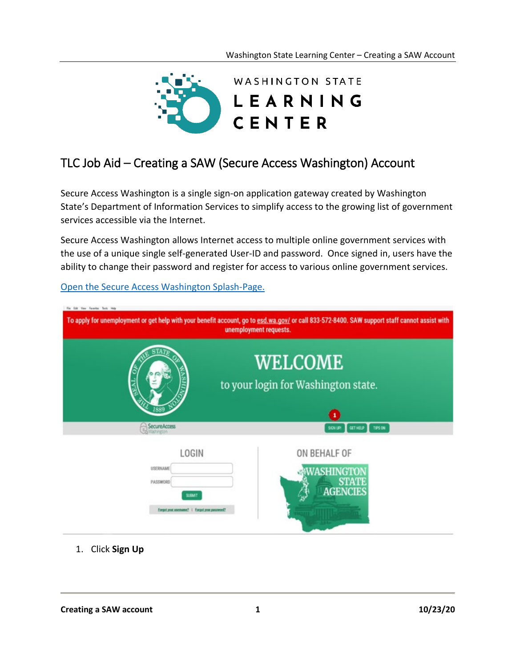

## TLC Job Aid – Creating a SAW (Secure Access Washington) Account

Secure Access Washington is a single sign-on application gateway created by Washington State's Department of Information Services to simplify access to the growing list of government services accessible via the Internet.

Secure Access Washington allows Internet access to multiple online government services with the use of a unique single self-generated User-ID and password. Once signed in, users have the ability to change their password and register for access to various online government services.

To apply for unemployment or get help with your benefit account, go to esd.wa.gov/ or call 833-572-8400. SAW support staff cannot assist with unemployment requests. WELCOME to your login for Washington state. SecureAccess **GET HELP TIPS ON** LOGIN ON BEHALF OF USERIAME WASHINGTOI **STAT** PASSWOR **AGENCII SUBMIT Engineerment | Engineer** 

[Open the Secure Access Washington Splash-Page.](https://secureaccess.wa.gov/myAccess/saw/select.do)

1. Click **Sign Up**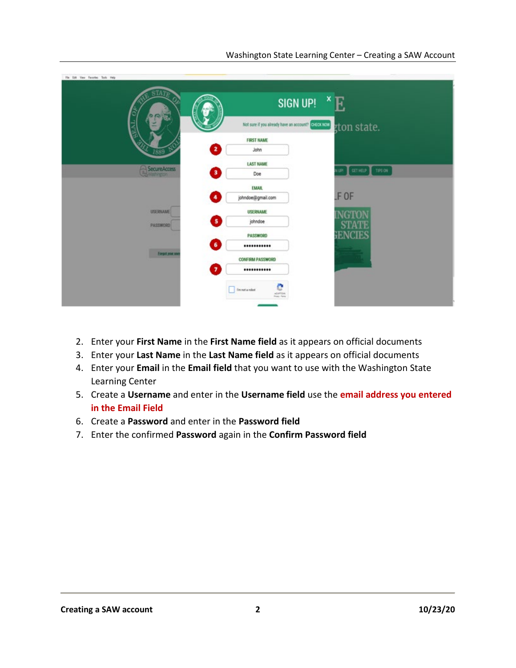| File Edit View Favorite: Tools Help                         |                                                    |                               |
|-------------------------------------------------------------|----------------------------------------------------|-------------------------------|
| TATE<br>$\circ$                                             | ×<br>SIGN UP!                                      | F.                            |
|                                                             | Not sure if you already have an account? CHECK NOW | gton state.                   |
|                                                             | <b>FIRST NAME</b>                                  |                               |
| 2<br>1889 <sup>o</sup>                                      | John                                               |                               |
|                                                             | <b>LAST NAME</b>                                   |                               |
| <b>SecureAccess</b><br>0<br><b><i><u>Cartherine</u></i></b> | Doe                                                | GETHELP TIPS ON<br><b>UPI</b> |
|                                                             | <b>EMAIL</b>                                       |                               |
| 4                                                           | johndoe@gmail.com                                  | F OF                          |
| <b>USERIAME</b>                                             | <b>USERNAME</b>                                    | JCTY                          |
| 5)<br><b>PASSWORD</b>                                       | johndoe                                            |                               |
|                                                             | PASSWORD                                           | ENCIE.                        |
| $\bullet$                                                   |                                                    |                               |
| Energot your asset                                          | <b>CONFIRM PASSWORD</b>                            |                               |
| 71                                                          |                                                    |                               |
|                                                             | е<br>fm not a robot                                |                               |
|                                                             |                                                    |                               |

- 2. Enter your **First Name** in the **First Name field** as it appears on official documents
- 3. Enter your **Last Name** in the **Last Name field** as it appears on official documents
- 4. Enter your **Email** in the **Email field** that you want to use with the Washington State Learning Center
- 5. Create a **Username** and enter in the **Username field** use the **email address you entered in the Email Field**
- 6. Create a **Password** and enter in the **Password field**
- 7. Enter the confirmed **Password** again in the **Confirm Password field**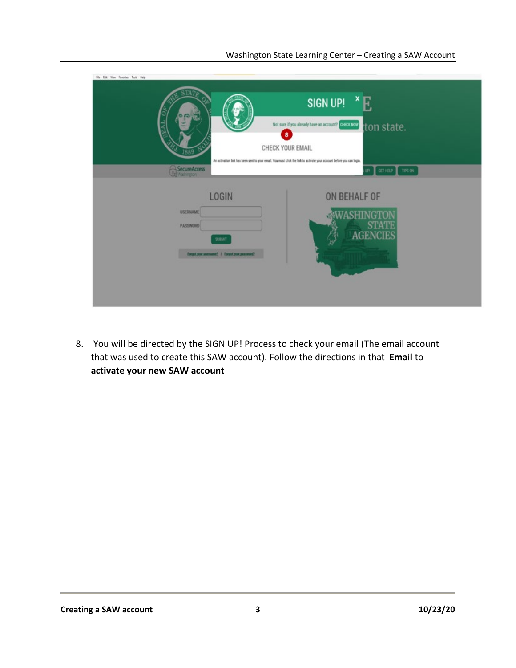| File Edit New Favorites Tools Help                   |                                                                                                                                                                                                                                                                                |
|------------------------------------------------------|--------------------------------------------------------------------------------------------------------------------------------------------------------------------------------------------------------------------------------------------------------------------------------|
| SecureAccess                                         | <b>SIGN UP!</b><br>Not sure if you already have an account? CHECK NOW<br>ton state.<br>$\bullet$<br>CHECK YOUR EMAIL<br>An activation link has been sent to your email. You must click the link to activate your account before you can login.<br>GETHELP TIPS ON<br><b>SD</b> |
| <b>LOGIN</b>                                         | ON BEHALF OF                                                                                                                                                                                                                                                                   |
| <b>USERIAME</b><br><b>PASSWORD</b>                   |                                                                                                                                                                                                                                                                                |
| SUBMT.<br>Engel your anomame?   Engel your passworl? |                                                                                                                                                                                                                                                                                |
|                                                      |                                                                                                                                                                                                                                                                                |
|                                                      |                                                                                                                                                                                                                                                                                |

8. You will be directed by the SIGN UP! Process to check your email (The email account that was used to create this SAW account). Follow the directions in that **Email** to **activate your new SAW account**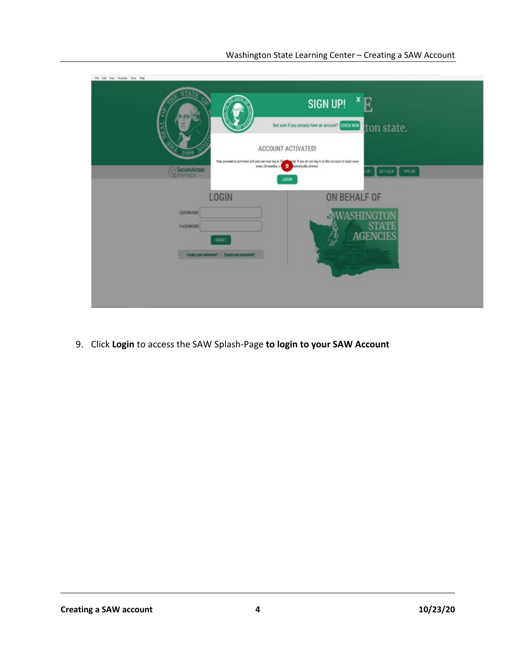| For Lot New Favorite: Took Help               |                                                                                                                                                                                               |
|-----------------------------------------------|-----------------------------------------------------------------------------------------------------------------------------------------------------------------------------------------------|
|                                               | <b>SIGN UP!</b><br>Not sure if you already have an account? ELECCICON<br>ton state.                                                                                                           |
| 1889                                          | ACCOUNT ACTIVATED!                                                                                                                                                                            |
| SecureAccess                                  | Your account is activated and you can now log in. $\mathbb{R}$ and $\mathbb{R}$ you do not log in to this account at least once every 24 months, it<br>GETHELP TIPS ON<br><b>SEL</b><br>LOGIN |
| <b>LOGIN</b>                                  | ON BEHALF OF                                                                                                                                                                                  |
| <b>USERIAME</b><br>PASSWORD<br><b>SUBAT</b>   | <b>STATE</b><br><b>AGENCIES</b>                                                                                                                                                               |
| Forget your assessme?   Torget your password? |                                                                                                                                                                                               |

9. Click **Login** to access the SAW Splash-Page **to login to your SAW Account**